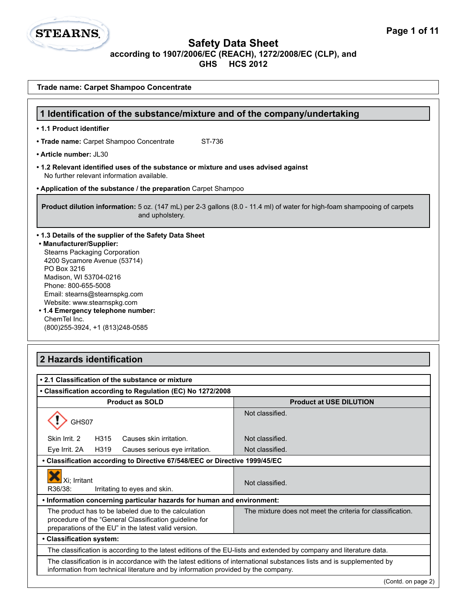

| Trade name: Carpet Shampoo Concentrate                                                                                                                                                                                                                                                                                                                                               |                                                            |  |
|--------------------------------------------------------------------------------------------------------------------------------------------------------------------------------------------------------------------------------------------------------------------------------------------------------------------------------------------------------------------------------------|------------------------------------------------------------|--|
| 1 Identification of the substance/mixture and of the company/undertaking                                                                                                                                                                                                                                                                                                             |                                                            |  |
| • 1.1 Product identifier                                                                                                                                                                                                                                                                                                                                                             |                                                            |  |
| • Trade name: Carpet Shampoo Concentrate<br>ST-736                                                                                                                                                                                                                                                                                                                                   |                                                            |  |
| • Article number: JL30                                                                                                                                                                                                                                                                                                                                                               |                                                            |  |
| • 1.2 Relevant identified uses of the substance or mixture and uses advised against<br>No further relevant information available.                                                                                                                                                                                                                                                    |                                                            |  |
| • Application of the substance / the preparation Carpet Shampoo                                                                                                                                                                                                                                                                                                                      |                                                            |  |
| Product dilution information: 5 oz. (147 mL) per 2-3 gallons (8.0 - 11.4 ml) of water for high-foam shampooing of carpets<br>and upholstery.                                                                                                                                                                                                                                         |                                                            |  |
| • 1.3 Details of the supplier of the Safety Data Sheet<br>• Manufacturer/Supplier:<br><b>Stearns Packaging Corporation</b><br>4200 Sycamore Avenue (53714)<br>PO Box 3216<br>Madison, WI 53704-0216<br>Phone: 800-655-5008<br>Email: stearns@stearnspkg.com<br>Website: www.stearnspkg.com<br>• 1.4 Emergency telephone number:<br>ChemTel Inc.<br>(800) 255-3924, +1 (813) 248-0585 |                                                            |  |
| 2 Hazards identification<br>• 2.1 Classification of the substance or mixture                                                                                                                                                                                                                                                                                                         |                                                            |  |
| • Classification according to Regulation (EC) No 1272/2008                                                                                                                                                                                                                                                                                                                           |                                                            |  |
| <b>Product as SOLD</b>                                                                                                                                                                                                                                                                                                                                                               | <b>Product at USE DILUTION</b>                             |  |
| ↷<br>GHS07                                                                                                                                                                                                                                                                                                                                                                           | Not classified.                                            |  |
| Skin Irrit. 2<br>H315<br>Causes skin irritation.                                                                                                                                                                                                                                                                                                                                     | Not classified.                                            |  |
| H319<br>Eye Irrit. 2A<br>Causes serious eye irritation.                                                                                                                                                                                                                                                                                                                              | Not classified.                                            |  |
| • Classification according to Directive 67/548/EEC or Directive 1999/45/EC                                                                                                                                                                                                                                                                                                           |                                                            |  |
| Xi; Irritant<br>Not classified.<br>R36/38:<br>Irritating to eyes and skin.                                                                                                                                                                                                                                                                                                           |                                                            |  |
| . Information concerning particular hazards for human and environment:                                                                                                                                                                                                                                                                                                               |                                                            |  |
| The product has to be labeled due to the calculation<br>procedure of the "General Classification guideline for<br>preparations of the EU" in the latest valid version.                                                                                                                                                                                                               | The mixture does not meet the criteria for classification. |  |
| · Classification system:                                                                                                                                                                                                                                                                                                                                                             |                                                            |  |
| The classification is according to the latest editions of the EU-lists and extended by company and literature data.                                                                                                                                                                                                                                                                  |                                                            |  |
| The classification is in accordance with the latest editions of international substances lists and is supplemented by<br>information from technical literature and by information provided by the company.                                                                                                                                                                           |                                                            |  |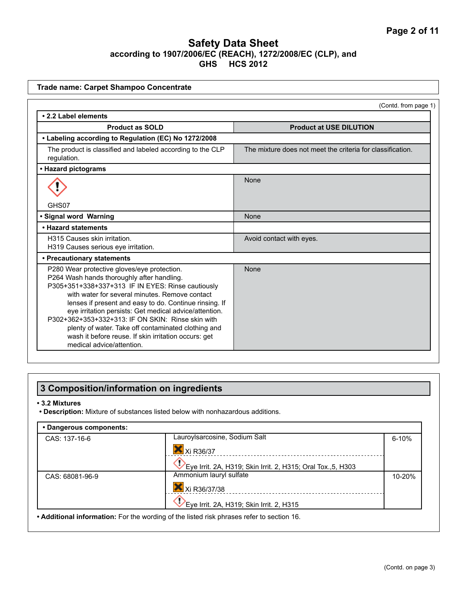| Trade name: Carpet Shampoo Concentrate                                                                                                                                                                                                                                                                                                                                                                                                                                                                                |                                                            |
|-----------------------------------------------------------------------------------------------------------------------------------------------------------------------------------------------------------------------------------------------------------------------------------------------------------------------------------------------------------------------------------------------------------------------------------------------------------------------------------------------------------------------|------------------------------------------------------------|
|                                                                                                                                                                                                                                                                                                                                                                                                                                                                                                                       | (Contd. from page 1)                                       |
| • 2.2 Label elements                                                                                                                                                                                                                                                                                                                                                                                                                                                                                                  |                                                            |
| <b>Product as SOLD</b>                                                                                                                                                                                                                                                                                                                                                                                                                                                                                                | <b>Product at USE DILUTION</b>                             |
| • Labeling according to Regulation (EC) No 1272/2008                                                                                                                                                                                                                                                                                                                                                                                                                                                                  |                                                            |
| The product is classified and labeled according to the CLP<br>regulation.                                                                                                                                                                                                                                                                                                                                                                                                                                             | The mixture does not meet the criteria for classification. |
| • Hazard pictograms                                                                                                                                                                                                                                                                                                                                                                                                                                                                                                   |                                                            |
|                                                                                                                                                                                                                                                                                                                                                                                                                                                                                                                       | None                                                       |
| GHS07                                                                                                                                                                                                                                                                                                                                                                                                                                                                                                                 |                                                            |
| · Signal word Warning                                                                                                                                                                                                                                                                                                                                                                                                                                                                                                 | None                                                       |
| • Hazard statements                                                                                                                                                                                                                                                                                                                                                                                                                                                                                                   |                                                            |
| H315 Causes skin irritation.<br>H319 Causes serious eye irritation.                                                                                                                                                                                                                                                                                                                                                                                                                                                   | Avoid contact with eyes.                                   |
| • Precautionary statements                                                                                                                                                                                                                                                                                                                                                                                                                                                                                            |                                                            |
| P280 Wear protective gloves/eye protection.<br>P264 Wash hands thoroughly after handling.<br>P305+351+338+337+313 IF IN EYES: Rinse cautiously<br>with water for several minutes. Remove contact<br>lenses if present and easy to do. Continue rinsing. If<br>eye irritation persists: Get medical advice/attention.<br>P302+362+353+332+313: IF ON SKIN: Rinse skin with<br>plenty of water. Take off contaminated clothing and<br>wash it before reuse. If skin irritation occurs: get<br>medical advice/attention. | None                                                       |

# **3 Composition/information on ingredients**

#### **• 3.2 Mixtures**

**• Description:** Mixture of substances listed below with nonhazardous additions.

| • Dangerous components:                                                                   |                                                              |        |
|-------------------------------------------------------------------------------------------|--------------------------------------------------------------|--------|
| CAS: 137-16-6                                                                             | Lauroylsarcosine, Sodium Salt                                | 6-10%  |
|                                                                                           | Xi R36/37                                                    |        |
|                                                                                           | Eye Irrit. 2A, H319; Skin Irrit. 2, H315; Oral Tox., 5, H303 |        |
| CAS: 68081-96-9                                                                           | Ammonium lauryl sulfate                                      | 10-20% |
|                                                                                           | Xi R36/37/38                                                 |        |
|                                                                                           | Eye Irrit. 2A, H319; Skin Irrit. 2, H315                     |        |
| • Additional information: For the wording of the listed risk phrases refer to section 16. |                                                              |        |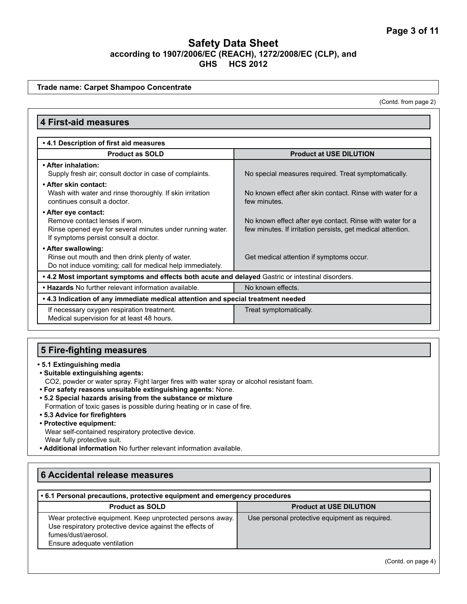**Trade name: Carpet Shampoo Concentrate**

(Contd. from page 2)

| <b>4 First-aid measures</b>                                                                                                                                  |                                                                                                                          |  |
|--------------------------------------------------------------------------------------------------------------------------------------------------------------|--------------------------------------------------------------------------------------------------------------------------|--|
| .4.1 Description of first aid measures                                                                                                                       |                                                                                                                          |  |
| <b>Product as SOLD</b>                                                                                                                                       | <b>Product at USE DILUTION</b>                                                                                           |  |
| • After inhalation:<br>Supply fresh air; consult doctor in case of complaints.                                                                               | No special measures required. Treat symptomatically.                                                                     |  |
| • After skin contact:<br>Wash with water and rinse thoroughly. If skin irritation<br>continues consult a doctor.                                             | No known effect after skin contact. Rinse with water for a<br>few minutes.                                               |  |
| • After eye contact:<br>Remove contact lenses if worn.<br>Rinse opened eye for several minutes under running water.<br>If symptoms persist consult a doctor. | No known effect after eye contact. Rinse with water for a<br>few minutes. If irritation persists, get medical attention. |  |
| • After swallowing:<br>Rinse out mouth and then drink plenty of water.<br>Do not induce vomiting; call for medical help immediately.                         | Get medical attention if symptoms occur.                                                                                 |  |
| • 4.2 Most important symptoms and effects both acute and delayed Gastric or intestinal disorders.                                                            |                                                                                                                          |  |
| . Hazards No further relevant information available.                                                                                                         | No known effects.                                                                                                        |  |
| • 4.3 Indication of any immediate medical attention and special treatment needed                                                                             |                                                                                                                          |  |
| If necessary oxygen respiration treatment.<br>Medical supervision for at least 48 hours.                                                                     | Treat symptomatically.                                                                                                   |  |

### **5 Fire-fighting measures**

- **5.1 Extinguishing media**
- **Suitable extinguishing agents:**

CO2, powder or water spray. Fight larger fires with water spray or alcohol resistant foam.

- **For safety reasons unsuitable extinguishing agents:** None.
- **5.2 Special hazards arising from the substance or mixture**

Formation of toxic gases is possible during heating or in case of fire.

**• 5.3 Advice for firefighters**

#### **• Protective equipment:**

Wear self-contained respiratory protective device. Wear fully protective suit.

**• Additional information** No further relevant information available.

# **6 Accidental release measures**

### **• 6.1 Personal precautions, protective equipment and emergency procedures**

| <b>Product as SOLD</b>                                                                                                                                                      | <b>Product at USE DILUTION</b>                 |
|-----------------------------------------------------------------------------------------------------------------------------------------------------------------------------|------------------------------------------------|
| Wear protective equipment. Keep unprotected persons away.<br>Use respiratory protective device against the effects of<br>fumes/dust/aerosol.<br>Ensure adequate ventilation | Use personal protective equipment as required. |

(Contd. on page 4)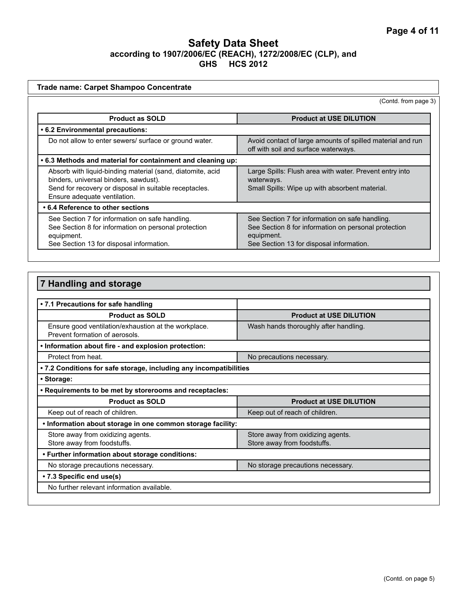| <b>Trade name: Carpet Shampoo Concentrate</b>                                                                                                                                                 |                                                                                                                                                                   |
|-----------------------------------------------------------------------------------------------------------------------------------------------------------------------------------------------|-------------------------------------------------------------------------------------------------------------------------------------------------------------------|
|                                                                                                                                                                                               | (Contd. from page 3)                                                                                                                                              |
| <b>Product as SOLD</b>                                                                                                                                                                        | <b>Product at USE DILUTION</b>                                                                                                                                    |
| • 6.2 Environmental precautions:                                                                                                                                                              |                                                                                                                                                                   |
| Do not allow to enter sewers/ surface or ground water.                                                                                                                                        | Avoid contact of large amounts of spilled material and run<br>off with soil and surface waterways.                                                                |
| .6.3 Methods and material for containment and cleaning up:                                                                                                                                    |                                                                                                                                                                   |
| Absorb with liquid-binding material (sand, diatomite, acid<br>binders, universal binders, sawdust).<br>Send for recovery or disposal in suitable receptacles.<br>Ensure adequate ventilation. | Large Spills: Flush area with water. Prevent entry into<br>waterways.<br>Small Spills: Wipe up with absorbent material.                                           |
| • 6.4 Reference to other sections                                                                                                                                                             |                                                                                                                                                                   |
| See Section 7 for information on safe handling.<br>See Section 8 for information on personal protection<br>equipment.<br>See Section 13 for disposal information.                             | See Section 7 for information on safe handling.<br>See Section 8 for information on personal protection<br>equipment.<br>See Section 13 for disposal information. |
|                                                                                                                                                                                               |                                                                                                                                                                   |

| 7 Handling and storage                                                                 |                                                                  |
|----------------------------------------------------------------------------------------|------------------------------------------------------------------|
|                                                                                        |                                                                  |
| • 7.1 Precautions for safe handling                                                    |                                                                  |
| <b>Product as SOLD</b>                                                                 | <b>Product at USE DILUTION</b>                                   |
| Ensure good ventilation/exhaustion at the workplace.<br>Prevent formation of aerosols. | Wash hands thoroughly after handling.                            |
| . Information about fire - and explosion protection:                                   |                                                                  |
| Protect from heat.                                                                     | No precautions necessary.                                        |
| . 7.2 Conditions for safe storage, including any incompatibilities                     |                                                                  |
| • Storage:                                                                             |                                                                  |
| . Requirements to be met by storerooms and receptacles:                                |                                                                  |
| <b>Product as SOLD</b>                                                                 | <b>Product at USE DILUTION</b>                                   |
| Keep out of reach of children.                                                         | Keep out of reach of children.                                   |
| . Information about storage in one common storage facility:                            |                                                                  |
| Store away from oxidizing agents.<br>Store away from foodstuffs.                       | Store away from oxidizing agents.<br>Store away from foodstuffs. |
| • Further information about storage conditions:                                        |                                                                  |
| No storage precautions necessary.                                                      | No storage precautions necessary.                                |
| • 7.3 Specific end use(s)                                                              |                                                                  |
| No further relevant information available.                                             |                                                                  |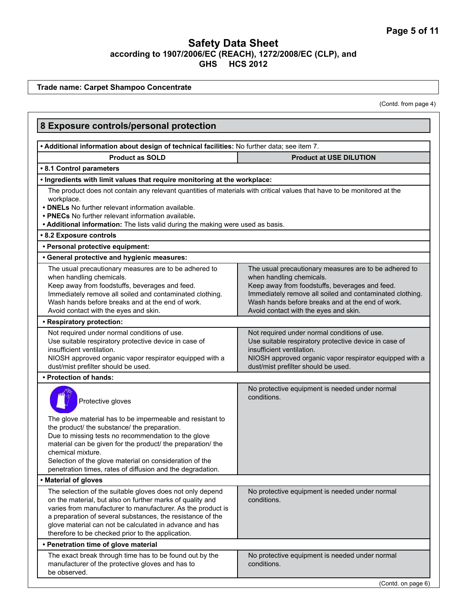**Trade name: Carpet Shampoo Concentrate** (Contd. from page 4) **8 Exposure controls/personal protection • Additional information about design of technical facilities:** No further data; see item 7. **Product as SOLD Product at USE DILUTION • 8.1 Control parameters • Ingredients with limit values that require monitoring at the workplace:** The product does not contain any relevant quantities of materials with critical values that have to be monitored at the workplace. **• DNELs** No further relevant information available. **• PNECs** No further relevant information available**. • Additional information:** The lists valid during the making were used as basis. **• 8.2 Exposure controls • Personal protective equipment: • General protective and hygienic measures:**  The usual precautionary measures are to be adhered to when handling chemicals. Keep away from foodstuffs, beverages and feed. Immediately remove all soiled and contaminated clothing. Wash hands before breaks and at the end of work. Avoid contact with the eyes and skin. The usual precautionary measures are to be adhered to when handling chemicals. Keep away from foodstuffs, beverages and feed. Immediately remove all soiled and contaminated clothing. Wash hands before breaks and at the end of work. Avoid contact with the eyes and skin. **• Respiratory protection:**  Not required under normal conditions of use. Use suitable respiratory protective device in case of insufficient ventilation. NIOSH approved organic vapor respirator equipped with a dust/mist prefilter should be used. Not required under normal conditions of use. Use suitable respiratory protective device in case of insufficient ventilation. NIOSH approved organic vapor respirator equipped with a dust/mist prefilter should be used. **• Protection of hands:**  Protective gloves The glove material has to be impermeable and resistant to the product/ the substance/ the preparation. Due to missing tests no recommendation to the glove material can be given for the product/ the preparation/ the chemical mixture. Selection of the glove material on consideration of the penetration times, rates of diffusion and the degradation. No protective equipment is needed under normal conditions. **• Material of gloves** The selection of the suitable gloves does not only depend on the material, but also on further marks of quality and varies from manufacturer to manufacturer. As the product is a preparation of several substances, the resistance of the glove material can not be calculated in advance and has therefore to be checked prior to the application. No protective equipment is needed under normal conditions. **• Penetration time of glove material** The exact break through time has to be found out by the manufacturer of the protective gloves and has to be observed. No protective equipment is needed under normal conditions.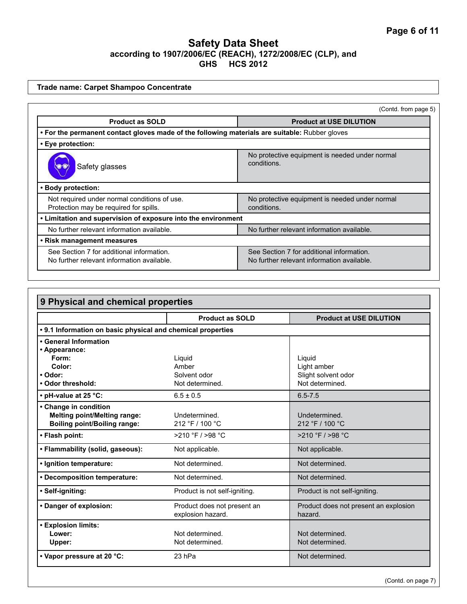**Trade name: Carpet Shampoo Concentrate**

|                                                                                                | (Contd. from page 5)                                                                    |
|------------------------------------------------------------------------------------------------|-----------------------------------------------------------------------------------------|
| <b>Product as SOLD</b>                                                                         | <b>Product at USE DILUTION</b>                                                          |
| • For the permanent contact gloves made of the following materials are suitable: Rubber gloves |                                                                                         |
| • Eye protection:                                                                              |                                                                                         |
| Safety glasses                                                                                 | No protective equipment is needed under normal<br>conditions.                           |
| • Body protection:                                                                             |                                                                                         |
| Not required under normal conditions of use.<br>Protection may be required for spills.         | No protective equipment is needed under normal<br>conditions.                           |
| • Limitation and supervision of exposure into the environment                                  |                                                                                         |
| No further relevant information available.                                                     | No further relevant information available.                                              |
| • Risk management measures                                                                     |                                                                                         |
| See Section 7 for additional information.<br>No further relevant information available.        | See Section 7 for additional information.<br>No further relevant information available. |

| 9 Physical and chemical properties                          |                                                  |                                                  |
|-------------------------------------------------------------|--------------------------------------------------|--------------------------------------------------|
|                                                             | <b>Product as SOLD</b>                           | <b>Product at USE DILUTION</b>                   |
| • 9.1 Information on basic physical and chemical properties |                                                  |                                                  |
| • General Information                                       |                                                  |                                                  |
| • Appearance:                                               |                                                  |                                                  |
| Form:                                                       | Liquid                                           | Liquid                                           |
| Color:                                                      | Amber                                            | Light amber                                      |
| • Odor:                                                     | Solvent odor                                     | Slight solvent odor                              |
| • Odor threshold:                                           | Not determined.                                  | Not determined.                                  |
| • pH-value at 25 °C:                                        | $6.5 \pm 0.5$                                    | $6.5 - 7.5$                                      |
| • Change in condition                                       |                                                  |                                                  |
| <b>Melting point/Melting range:</b>                         | Undetermined.                                    | Undetermined.                                    |
| <b>Boiling point/Boiling range:</b>                         | 212 °F / 100 °C                                  | 212 °F / 100 °C                                  |
| • Flash point:                                              | $>210$ °F $/$ >98 °C                             | $>210$ °F / $>98$ °C                             |
| • Flammability (solid, gaseous):                            | Not applicable.                                  | Not applicable.                                  |
| · Ignition temperature:                                     | Not determined.                                  | Not determined.                                  |
| • Decomposition temperature:                                | Not determined.                                  | Not determined.                                  |
| • Self-igniting:                                            | Product is not self-igniting.                    | Product is not self-igniting.                    |
| • Danger of explosion:                                      | Product does not present an<br>explosion hazard. | Product does not present an explosion<br>hazard. |
| <b>• Explosion limits:</b>                                  |                                                  |                                                  |
| Lower:                                                      | Not determined.                                  | Not determined.                                  |
| Upper:                                                      | Not determined.                                  | Not determined.                                  |
| • Vapor pressure at 20 °C:                                  | 23 hPa                                           | Not determined.                                  |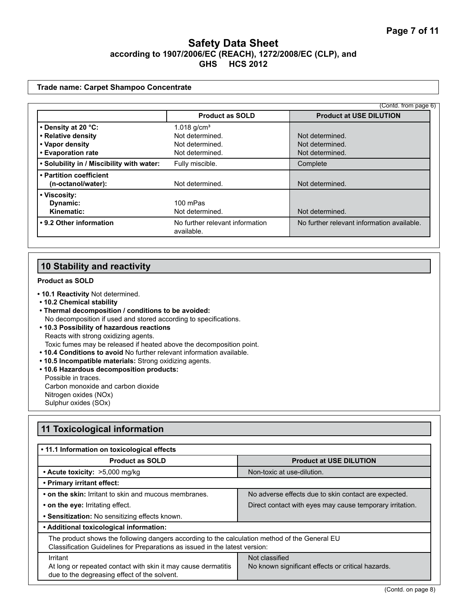#### **Trade name: Carpet Shampoo Concentrate**

|                                           |                                               | (Contd. from page 6)                       |
|-------------------------------------------|-----------------------------------------------|--------------------------------------------|
|                                           | <b>Product as SOLD</b>                        | <b>Product at USE DILUTION</b>             |
| • Density at 20 °C:                       | 1.018 $q/cm3$                                 |                                            |
| • Relative density                        | Not determined.                               | Not determined.                            |
| • Vapor density                           | Not determined.                               | Not determined.                            |
| • Evaporation rate                        | Not determined.                               | Not determined.                            |
| . Solubility in / Miscibility with water: | Fully miscible.                               | Complete                                   |
| • Partition coefficient                   |                                               |                                            |
| (n-octanol/water):                        | Not determined.                               | Not determined.                            |
| • Viscosity:                              |                                               |                                            |
| Dynamic:                                  | 100 mPas                                      |                                            |
| Kinematic:                                | Not determined.                               | Not determined.                            |
| • 9.2 Other information                   | No further relevant information<br>available. | No further relevant information available. |

# **10 Stability and reactivity**

#### **Product as SOLD**

- **10.1 Reactivity** Not determined.
- **10.2 Chemical stability**
- **Thermal decomposition / conditions to be avoided:** No decomposition if used and stored according to specifications.
- **10.3 Possibility of hazardous reactions** Reacts with strong oxidizing agents. Toxic fumes may be released if heated above the decomposition point.
- **10.4 Conditions to avoid** No further relevant information available.
- **10.5 Incompatible materials:** Strong oxidizing agents.
- **10.6 Hazardous decomposition products:** Possible in traces. Carbon monoxide and carbon dioxide Nitrogen oxides (NOx) Sulphur oxides (SOx)

# **11 Toxicological information**

| • 11.1 Information on toxicological effects                                                                                                                                  |                                                                     |  |
|------------------------------------------------------------------------------------------------------------------------------------------------------------------------------|---------------------------------------------------------------------|--|
| <b>Product as SOLD</b>                                                                                                                                                       | <b>Product at USE DILUTION</b>                                      |  |
| • Acute toxicity: >5,000 mg/kg                                                                                                                                               | Non-toxic at use-dilution.                                          |  |
| • Primary irritant effect:                                                                                                                                                   |                                                                     |  |
| • on the skin: Irritant to skin and mucous membranes.                                                                                                                        | No adverse effects due to skin contact are expected.                |  |
| • on the eye: Irritating effect.                                                                                                                                             | Direct contact with eyes may cause temporary irritation.            |  |
| • Sensitization: No sensitizing effects known.                                                                                                                               |                                                                     |  |
| • Additional toxicological information:                                                                                                                                      |                                                                     |  |
| The product shows the following dangers according to the calculation method of the General EU<br>Classification Guidelines for Preparations as issued in the latest version: |                                                                     |  |
| Irritant<br>At long or repeated contact with skin it may cause dermatitis<br>due to the degreasing effect of the solvent.                                                    | Not classified<br>No known significant effects or critical hazards. |  |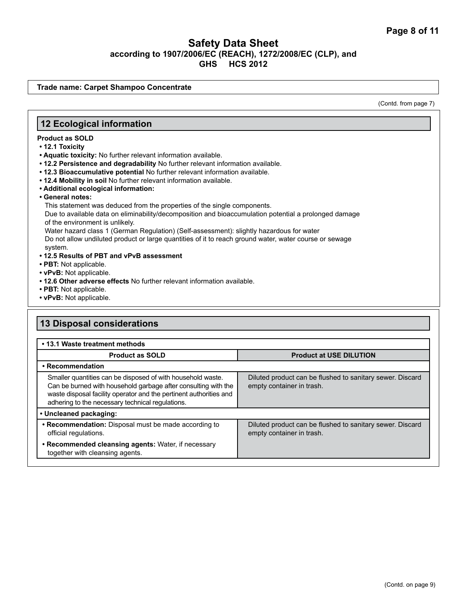**Trade name: Carpet Shampoo Concentrate**

(Contd. from page 7)

### **12 Ecological information**

#### **Product as SOLD**

- **12.1 Toxicity**
- **Aquatic toxicity:** No further relevant information available.
- **12.2 Persistence and degradability** No further relevant information available.
- **12.3 Bioaccumulative potential** No further relevant information available.
- **12.4 Mobility in soil** No further relevant information available.
- **Additional ecological information:**
- **General notes:**

This statement was deduced from the properties of the single components.

Due to available data on eliminability/decomposition and bioaccumulation potential a prolonged damage of the environment is unlikely.

Water hazard class 1 (German Regulation) (Self-assessment): slightly hazardous for water Do not allow undiluted product or large quantities of it to reach ground water, water course or sewage system.

- **12.5 Results of PBT and vPvB assessment**
- **PBT:** Not applicable.
- **vPvB:** Not applicable.
- **12.6 Other adverse effects** No further relevant information available.
- **PBT:** Not applicable.
- **vPvB:** Not applicable.

# **13 Disposal considerations**

| • 13.1 Waste treatment methods                                                                                                                                                                                                                          |                                                                                        |  |
|---------------------------------------------------------------------------------------------------------------------------------------------------------------------------------------------------------------------------------------------------------|----------------------------------------------------------------------------------------|--|
| <b>Product as SOLD</b>                                                                                                                                                                                                                                  | <b>Product at USE DILUTION</b>                                                         |  |
| • Recommendation                                                                                                                                                                                                                                        |                                                                                        |  |
| Smaller quantities can be disposed of with household waste.<br>Can be burned with household garbage after consulting with the<br>waste disposal facility operator and the pertinent authorities and<br>adhering to the necessary technical regulations. | Diluted product can be flushed to sanitary sewer. Discard<br>empty container in trash. |  |
| • Uncleaned packaging:                                                                                                                                                                                                                                  |                                                                                        |  |
| • Recommendation: Disposal must be made according to<br>official regulations.                                                                                                                                                                           | Diluted product can be flushed to sanitary sewer. Discard<br>empty container in trash. |  |
| • Recommended cleansing agents: Water, if necessary<br>together with cleansing agents.                                                                                                                                                                  |                                                                                        |  |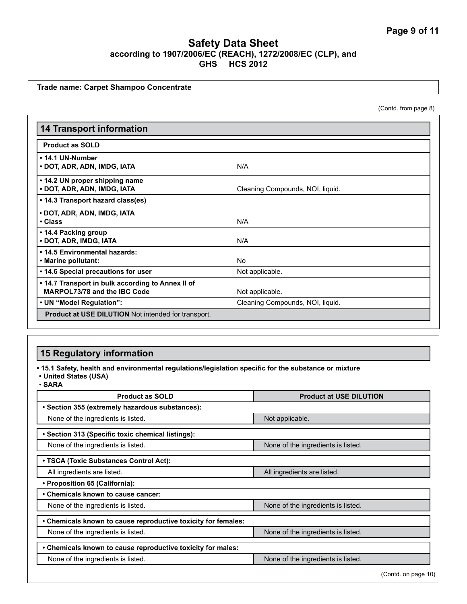**Trade name: Carpet Shampoo Concentrate**

(Contd. from page 8)

| <b>14 Transport information</b>                                                   |                                  |
|-----------------------------------------------------------------------------------|----------------------------------|
| <b>Product as SOLD</b>                                                            |                                  |
| • 14.1 UN-Number<br>• DOT, ADR, ADN, IMDG, IATA                                   | N/A                              |
| • 14.2 UN proper shipping name<br>• DOT, ADR, ADN, IMDG, IATA                     | Cleaning Compounds, NOI, liquid. |
| • 14.3 Transport hazard class(es)<br>• DOT, ADR, ADN, IMDG, IATA<br>• Class       | N/A                              |
| • 14.4 Packing group<br>· DOT, ADR, IMDG, IATA                                    | N/A                              |
| • 14.5 Environmental hazards:<br>• Marine pollutant:                              | No.                              |
| • 14.6 Special precautions for user                                               | Not applicable.                  |
| • 14.7 Transport in bulk according to Annex II of<br>MARPOL73/78 and the IBC Code | Not applicable.                  |
| • UN "Model Regulation":                                                          | Cleaning Compounds, NOI, liquid. |
| <b>Product at USE DILUTION</b> Not intended for transport.                        |                                  |

# **15 Regulatory information**

**• 15.1 Safety, health and environmental regulations/legislation specific for the substance or mixture**

**• United States (USA)** • **SARA**

| <b>Product as SOLD</b>                                        | <b>Product at USE DILUTION</b>     |
|---------------------------------------------------------------|------------------------------------|
| • Section 355 (extremely hazardous substances):               |                                    |
| None of the ingredients is listed.                            | Not applicable.                    |
| • Section 313 (Specific toxic chemical listings):             |                                    |
| None of the ingredients is listed.                            | None of the ingredients is listed. |
| • TSCA (Toxic Substances Control Act):                        |                                    |
| All ingredients are listed.                                   | All ingredients are listed.        |
| • Proposition 65 (California):                                |                                    |
| • Chemicals known to cause cancer:                            |                                    |
| None of the ingredients is listed.                            | None of the ingredients is listed. |
| • Chemicals known to cause reproductive toxicity for females: |                                    |
| None of the ingredients is listed.                            | None of the ingredients is listed. |
| • Chemicals known to cause reproductive toxicity for males:   |                                    |
| None of the ingredients is listed.                            | None of the ingredients is listed. |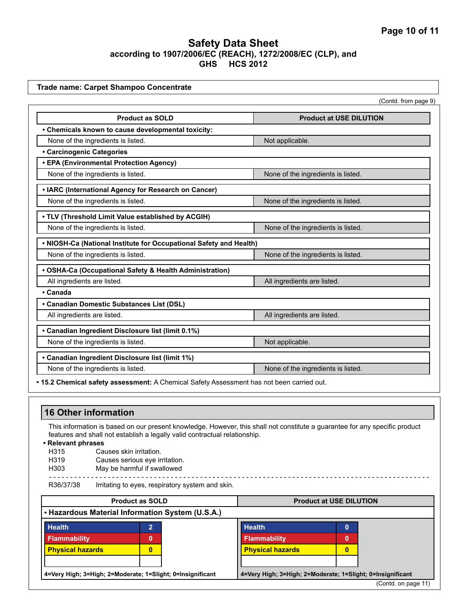|                                                                                           | (Contd. from page 9)               |  |
|-------------------------------------------------------------------------------------------|------------------------------------|--|
| <b>Product as SOLD</b>                                                                    | <b>Product at USE DILUTION</b>     |  |
| • Chemicals known to cause developmental toxicity:                                        |                                    |  |
| None of the ingredients is listed.                                                        | Not applicable.                    |  |
| <b>• Carcinogenic Categories</b>                                                          |                                    |  |
| • EPA (Environmental Protection Agency)                                                   |                                    |  |
| None of the ingredients is listed.                                                        | None of the ingredients is listed. |  |
| • IARC (International Agency for Research on Cancer)                                      |                                    |  |
| None of the ingredients is listed.                                                        | None of the ingredients is listed. |  |
| . TLV (Threshold Limit Value established by ACGIH)                                        |                                    |  |
| None of the ingredients is listed.                                                        | None of the ingredients is listed. |  |
| . NIOSH-Ca (National Institute for Occupational Safety and Health)                        |                                    |  |
| None of the ingredients is listed.                                                        | None of the ingredients is listed. |  |
| • OSHA-Ca (Occupational Safety & Health Administration)                                   |                                    |  |
| All ingredients are listed.                                                               | All ingredients are listed.        |  |
| • Canada                                                                                  |                                    |  |
| • Canadian Domestic Substances List (DSL)                                                 |                                    |  |
| All ingredients are listed.                                                               | All ingredients are listed.        |  |
| • Canadian Ingredient Disclosure list (limit 0.1%)                                        |                                    |  |
| None of the ingredients is listed.                                                        | Not applicable.                    |  |
| • Canadian Ingredient Disclosure list (limit 1%)                                          |                                    |  |
| None of the ingredients is listed.                                                        | None of the ingredients is listed. |  |
| . 15.2 Chemical safety assessment: A Chemical Safety Assessment has not been carried out. |                                    |  |

# **16 Other information**

This information is based on our present knowledge. However, this shall not constitute a guarantee for any specific product features and shall not establish a legally valid contractual relationship.

 $- - - -$ 

**• Relevant phrases**

- Causes skin irritation.
- H319 Causes serious eye irritation.

H303 May be harmful if swallowed - -

R36/37/38 Irritating to eyes, respiratory system and skin.

| <b>Product as SOLD</b>                                     |   | <b>Product at USE DILUTION</b>                             |                         |   |                     |
|------------------------------------------------------------|---|------------------------------------------------------------|-------------------------|---|---------------------|
| • Hazardous Material Information System (U.S.A.)           |   |                                                            |                         |   |                     |
| <b>Health</b>                                              | ∍ |                                                            | <b>Health</b>           | 0 |                     |
| <b>Flammability</b>                                        | 0 |                                                            | <b>Flammability</b>     | 0 |                     |
| <b>Physical hazards</b>                                    | 0 |                                                            | <b>Physical hazards</b> | 0 |                     |
|                                                            |   |                                                            |                         |   |                     |
| 4=Very High; 3=High; 2=Moderate; 1=Slight; 0=Insignificant |   | 4=Very High; 3=High; 2=Moderate; 1=Slight; 0=Insignificant |                         |   |                     |
|                                                            |   |                                                            |                         |   | (Contd. on page 11) |